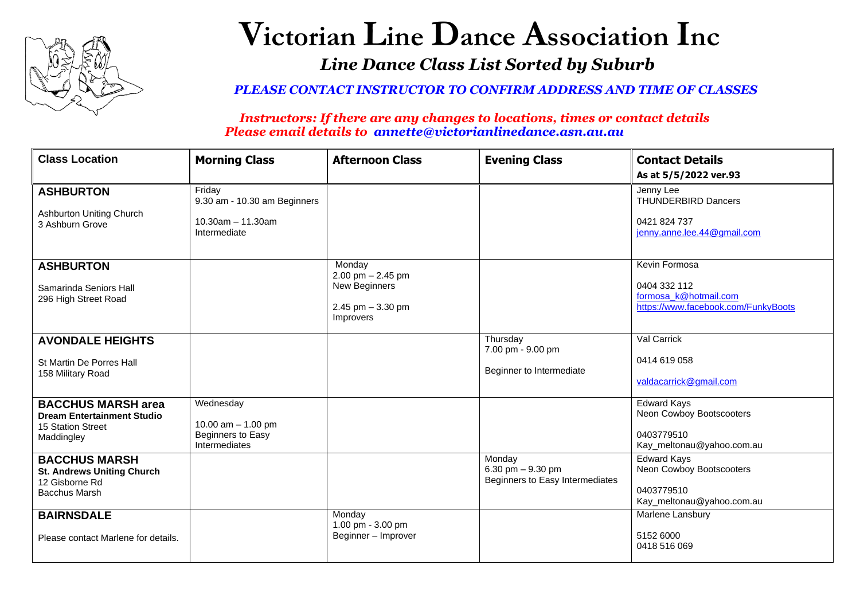

## **Victorian Line Dance Association Inc** *Line Dance Class List Sorted by Suburb*

*PLEASE CONTACT INSTRUCTOR TO CONFIRM ADDRESS AND TIME OF CLASSES*

*Instructors: If there are any changes to locations, times or contact details Please email details to annette@victorianlinedance.asn.au.au*

| <b>Class Location</b>                                                                             | <b>Morning Class</b>                                                    | <b>Afternoon Class</b>                                                              | <b>Evening Class</b>                                            | <b>Contact Details</b>                                                                        |
|---------------------------------------------------------------------------------------------------|-------------------------------------------------------------------------|-------------------------------------------------------------------------------------|-----------------------------------------------------------------|-----------------------------------------------------------------------------------------------|
|                                                                                                   |                                                                         |                                                                                     |                                                                 | As at 5/5/2022 ver.93                                                                         |
| <b>ASHBURTON</b>                                                                                  | Friday<br>9.30 am - 10.30 am Beginners                                  |                                                                                     |                                                                 | Jenny Lee<br><b>THUNDERBIRD Dancers</b>                                                       |
| <b>Ashburton Uniting Church</b><br>3 Ashburn Grove                                                | $10.30$ am $- 11.30$ am<br>Intermediate                                 |                                                                                     |                                                                 | 0421 824 737<br>jenny.anne.lee.44@gmail.com                                                   |
| <b>ASHBURTON</b><br>Samarinda Seniors Hall<br>296 High Street Road                                |                                                                         | Monday<br>$2.00$ pm $- 2.45$ pm<br>New Beginners<br>2.45 pm $-3.30$ pm<br>Improvers |                                                                 | Kevin Formosa<br>0404 332 112<br>formosa_k@hotmail.com<br>https://www.facebook.com/FunkyBoots |
| <b>AVONDALE HEIGHTS</b><br>St Martin De Porres Hall<br>158 Military Road                          |                                                                         |                                                                                     | Thursday<br>7.00 pm - 9.00 pm<br>Beginner to Intermediate       | Val Carrick<br>0414 619 058<br>valdacarrick@gmail.com                                         |
| <b>BACCHUS MARSH area</b><br><b>Dream Entertainment Studio</b><br>15 Station Street<br>Maddingley | Wednesday<br>10.00 $am - 1.00$ pm<br>Beginners to Easy<br>Intermediates |                                                                                     |                                                                 | <b>Edward Kays</b><br>Neon Cowboy Bootscooters<br>0403779510<br>Kay_meltonau@yahoo.com.au     |
| <b>BACCHUS MARSH</b><br><b>St. Andrews Uniting Church</b><br>12 Gisborne Rd<br>Bacchus Marsh      |                                                                         |                                                                                     | Monday<br>6.30 pm $-9.30$ pm<br>Beginners to Easy Intermediates | <b>Edward Kays</b><br>Neon Cowboy Bootscooters<br>0403779510<br>Kay_meltonau@yahoo.com.au     |
| <b>BAIRNSDALE</b><br>Please contact Marlene for details.                                          |                                                                         | Monday<br>1.00 pm - 3.00 pm<br>Beginner - Improver                                  |                                                                 | Marlene Lansbury<br>5152 6000<br>0418 516 069                                                 |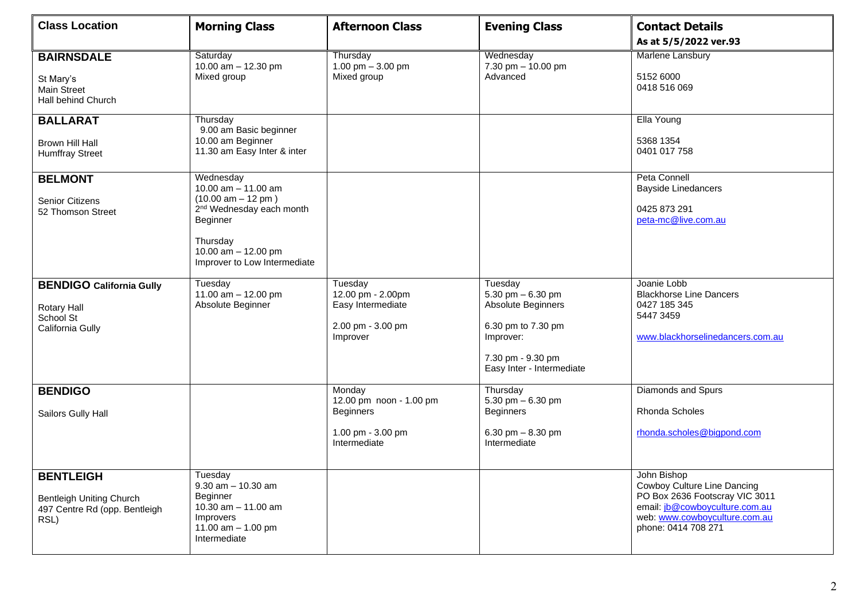| <b>Class Location</b>                                                                        | <b>Morning Class</b>                                                                                                                                                                | <b>Afternoon Class</b>                                                                     | <b>Evening Class</b>                                                                                                                     | <b>Contact Details</b><br>As at 5/5/2022 ver.93                                                                                                                        |
|----------------------------------------------------------------------------------------------|-------------------------------------------------------------------------------------------------------------------------------------------------------------------------------------|--------------------------------------------------------------------------------------------|------------------------------------------------------------------------------------------------------------------------------------------|------------------------------------------------------------------------------------------------------------------------------------------------------------------------|
| <b>BAIRNSDALE</b><br>St Mary's<br><b>Main Street</b><br>Hall behind Church                   | Saturday<br>10.00 $am - 12.30 pm$<br>Mixed group                                                                                                                                    | Thursday<br>1.00 pm $-3.00$ pm<br>Mixed group                                              | Wednesday<br>7.30 pm - 10.00 pm<br>Advanced                                                                                              | Marlene Lansbury<br>5152 6000<br>0418 516 069                                                                                                                          |
| <b>BALLARAT</b><br><b>Brown Hill Hall</b><br><b>Humffray Street</b>                          | Thursday<br>9.00 am Basic beginner<br>10.00 am Beginner<br>11.30 am Easy Inter & inter                                                                                              |                                                                                            |                                                                                                                                          | Ella Young<br>5368 1354<br>0401 017 758                                                                                                                                |
| <b>BELMONT</b><br>Senior Citizens<br>52 Thomson Street                                       | Wednesday<br>10.00 $am - 11.00 am$<br>$(10.00 am - 12 pm)$<br>2 <sup>nd</sup> Wednesday each month<br>Beginner<br>Thursday<br>10.00 am $-$ 12.00 pm<br>Improver to Low Intermediate |                                                                                            |                                                                                                                                          | Peta Connell<br><b>Bayside Linedancers</b><br>0425 873 291<br>peta-mc@live.com.au                                                                                      |
| <b>BENDIGO California Gully</b><br><b>Rotary Hall</b><br>School St<br>California Gully       | Tuesday<br>11.00 $am - 12.00$ pm<br>Absolute Beginner                                                                                                                               | Tuesday<br>12.00 pm - 2.00pm<br>Easy Intermediate<br>2.00 pm - 3.00 pm<br>Improver         | Tuesday<br>5.30 pm $-6.30$ pm<br>Absolute Beginners<br>6.30 pm to 7.30 pm<br>Improver:<br>7.30 pm - 9.30 pm<br>Easy Inter - Intermediate | Joanie Lobb<br><b>Blackhorse Line Dancers</b><br>0427 185 345<br>5447 3459<br>www.blackhorselinedancers.com.au                                                         |
| <b>BENDIGO</b><br>Sailors Gully Hall                                                         |                                                                                                                                                                                     | Monday<br>12.00 pm noon - 1.00 pm<br><b>Beginners</b><br>1.00 pm - 3.00 pm<br>Intermediate | Thursday<br>5.30 pm $-6.30$ pm<br><b>Beginners</b><br>6.30 pm $-8.30$ pm<br>Intermediate                                                 | Diamonds and Spurs<br>Rhonda Scholes<br>rhonda.scholes@bigpond.com                                                                                                     |
| <b>BENTLEIGH</b><br><b>Bentleigh Uniting Church</b><br>497 Centre Rd (opp. Bentleigh<br>RSL) | <b>luesday</b><br>$9.30$ am $- 10.30$ am<br>Beginner<br>10.30 $am - 11.00$ am<br>Improvers<br>11.00 $am - 1.00$ pm<br>Intermediate                                                  |                                                                                            |                                                                                                                                          | John Bishop<br>Cowboy Culture Line Dancing<br>PO Box 2636 Footscray VIC 3011<br>email: jb@cowboyculture.com.au<br>web: www.cowboyculture.com.au<br>phone: 0414 708 271 |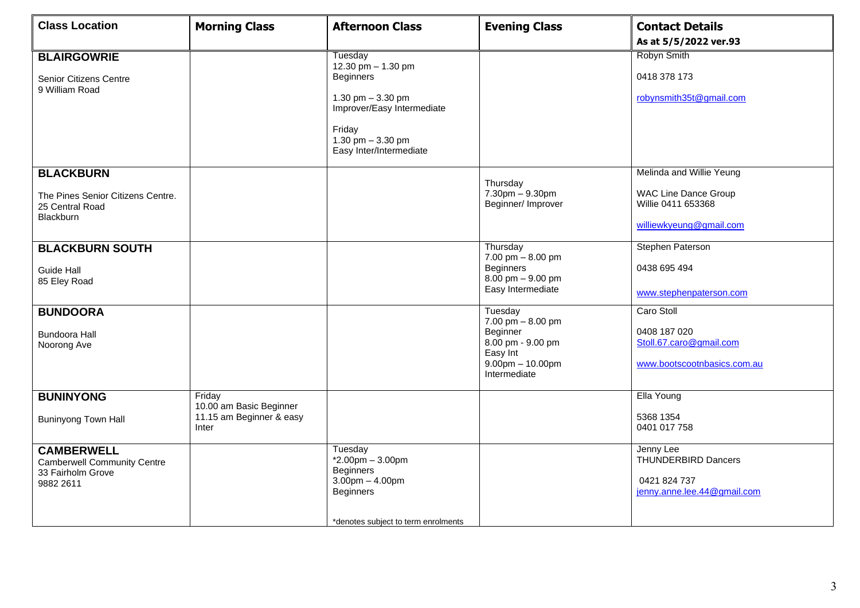| <b>Class Location</b>                                                                     | <b>Morning Class</b>                                                   | <b>Afternoon Class</b>                                                                                                                                            | <b>Evening Class</b>                                                                                                                  | <b>Contact Details</b>                                                                                   |
|-------------------------------------------------------------------------------------------|------------------------------------------------------------------------|-------------------------------------------------------------------------------------------------------------------------------------------------------------------|---------------------------------------------------------------------------------------------------------------------------------------|----------------------------------------------------------------------------------------------------------|
|                                                                                           |                                                                        |                                                                                                                                                                   |                                                                                                                                       | As at 5/5/2022 ver.93                                                                                    |
| <b>BLAIRGOWRIE</b><br>Senior Citizens Centre<br>9 William Road                            |                                                                        | Tuesday<br>12.30 pm - 1.30 pm<br><b>Beginners</b><br>1.30 pm $-3.30$ pm<br>Improver/Easy Intermediate<br>Friday<br>1.30 pm $-$ 3.30 pm<br>Easy Inter/Intermediate |                                                                                                                                       | Robyn Smith<br>0418 378 173<br>robynsmith35t@gmail.com                                                   |
| <b>BLACKBURN</b><br>The Pines Senior Citizens Centre.<br>25 Central Road<br>Blackburn     |                                                                        |                                                                                                                                                                   | Thursday<br>$7.30 \text{pm} - 9.30 \text{pm}$<br>Beginner/ Improver                                                                   | Melinda and Willie Yeung<br><b>WAC Line Dance Group</b><br>Willie 0411 653368<br>williewkyeung@gmail.com |
| <b>BLACKBURN SOUTH</b><br><b>Guide Hall</b><br>85 Eley Road                               |                                                                        |                                                                                                                                                                   | Thursday<br>7.00 pm - 8.00 pm<br><b>Beginners</b><br>$8.00$ pm $-9.00$ pm<br>Easy Intermediate                                        | Stephen Paterson<br>0438 695 494<br>www.stephenpaterson.com                                              |
| <b>BUNDOORA</b><br><b>Bundoora Hall</b><br>Noorong Ave                                    |                                                                        |                                                                                                                                                                   | Tuesday<br>$7.00 \text{ pm} - 8.00 \text{ pm}$<br>Beginner<br>8.00 pm - 9.00 pm<br>Easy Int<br>$9.00$ pm $- 10.00$ pm<br>Intermediate | Caro Stoll<br>0408 187 020<br>Stoll.67.caro@gmail.com<br>www.bootscootnbasics.com.au                     |
| <b>BUNINYONG</b><br><b>Buninyong Town Hall</b>                                            | Friday<br>10.00 am Basic Beginner<br>11.15 am Beginner & easy<br>Inter |                                                                                                                                                                   |                                                                                                                                       | Ella Young<br>5368 1354<br>0401 017 758                                                                  |
| <b>CAMBERWELL</b><br><b>Camberwell Community Centre</b><br>33 Fairholm Grove<br>9882 2611 |                                                                        | Tuesday<br>$*2.00$ pm $-3.00$ pm<br><b>Beginners</b><br>$3.00$ pm $- 4.00$ pm<br>Beginners<br>*denotes subject to term enrolments                                 |                                                                                                                                       | Jenny Lee<br><b>THUNDERBIRD Dancers</b><br>0421 824 737<br>jenny.anne.lee.44@gmail.com                   |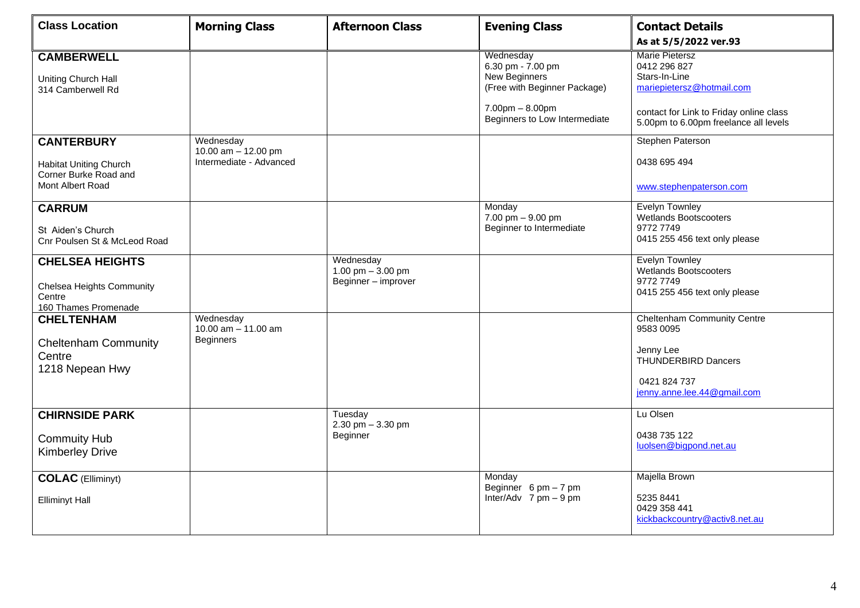| <b>Class Location</b>                                                                           | <b>Morning Class</b>                                        | <b>Afternoon Class</b>                                 | <b>Evening Class</b>                                                                                                                      | <b>Contact Details</b><br>As at 5/5/2022 ver.93                                                                                           |
|-------------------------------------------------------------------------------------------------|-------------------------------------------------------------|--------------------------------------------------------|-------------------------------------------------------------------------------------------------------------------------------------------|-------------------------------------------------------------------------------------------------------------------------------------------|
| <b>CAMBERWELL</b><br>Uniting Church Hall<br>314 Camberwell Rd                                   |                                                             |                                                        | Wednesday<br>6.30 pm - 7.00 pm<br>New Beginners<br>(Free with Beginner Package)<br>$7.00$ pm $- 8.00$ pm<br>Beginners to Low Intermediate | <b>Marie Pietersz</b><br>0412 296 827<br>Stars-In-Line<br>mariepietersz@hotmail.com<br>contact for Link to Friday online class            |
| <b>CANTERBURY</b><br><b>Habitat Uniting Church</b><br>Corner Burke Road and<br>Mont Albert Road | Wednesday<br>10.00 am - 12.00 pm<br>Intermediate - Advanced |                                                        |                                                                                                                                           | 5.00pm to 6.00pm freelance all levels<br>Stephen Paterson<br>0438 695 494<br>www.stephenpaterson.com                                      |
| <b>CARRUM</b><br>St Aiden's Church<br>Cnr Poulsen St & McLeod Road                              |                                                             |                                                        | Monday<br>$7.00 \text{ pm} - 9.00 \text{ pm}$<br>Beginner to Intermediate                                                                 | <b>Evelyn Townley</b><br><b>Wetlands Bootscooters</b><br>9772 7749<br>0415 255 456 text only please                                       |
| <b>CHELSEA HEIGHTS</b><br><b>Chelsea Heights Community</b><br>Centre<br>160 Thames Promenade    |                                                             | Wednesday<br>1.00 pm $-3.00$ pm<br>Beginner - improver |                                                                                                                                           | <b>Evelyn Townley</b><br><b>Wetlands Bootscooters</b><br>9772 7749<br>0415 255 456 text only please                                       |
| <b>CHELTENHAM</b><br><b>Cheltenham Community</b><br>Centre<br>1218 Nepean Hwy                   | Wednesday<br>10.00 $am - 11.00$ am<br><b>Beginners</b>      |                                                        |                                                                                                                                           | <b>Cheltenham Community Centre</b><br>9583 0095<br>Jenny Lee<br><b>THUNDERBIRD Dancers</b><br>0421 824 737<br>jenny.anne.lee.44@gmail.com |
| <b>CHIRNSIDE PARK</b><br><b>Commuity Hub</b><br><b>Kimberley Drive</b>                          |                                                             | Tuesday<br>2.30 pm $-3.30$ pm<br>Beginner              |                                                                                                                                           | Lu Olsen<br>0438 735 122<br>luolsen@bigpond.net.au                                                                                        |
| <b>COLAC</b> (Elliminyt)<br><b>Elliminyt Hall</b>                                               |                                                             |                                                        | Monday<br>Beginner $6 \text{ pm} - 7 \text{ pm}$<br>Inter/Adv $7 \text{ pm} - 9 \text{ pm}$                                               | Majella Brown<br>5235 8441<br>0429 358 441<br>kickbackcountry@activ8.net.au                                                               |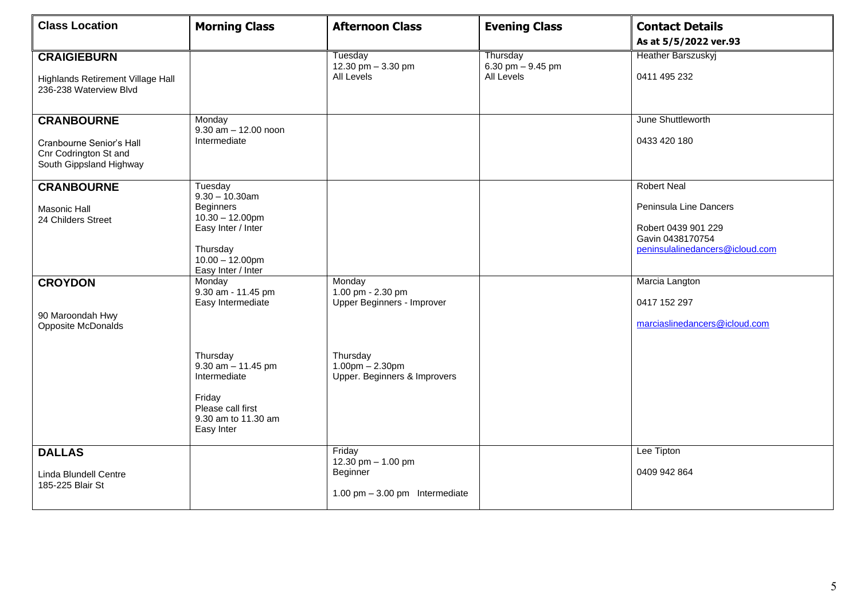| <b>Class Location</b>                                                                             | <b>Morning Class</b>                                                                                                                                 | <b>Afternoon Class</b>                                                         | <b>Evening Class</b>                         | <b>Contact Details</b><br>As at 5/5/2022 ver.93                                                                            |
|---------------------------------------------------------------------------------------------------|------------------------------------------------------------------------------------------------------------------------------------------------------|--------------------------------------------------------------------------------|----------------------------------------------|----------------------------------------------------------------------------------------------------------------------------|
| <b>CRAIGIEBURN</b><br><b>Highlands Retirement Village Hall</b><br>236-238 Waterview Blvd          |                                                                                                                                                      | Tuesday<br>12.30 pm - 3.30 pm<br>All Levels                                    | Thursday<br>6.30 pm $-9.45$ pm<br>All Levels | Heather Barszuskyj<br>0411 495 232                                                                                         |
| <b>CRANBOURNE</b><br>Cranbourne Senior's Hall<br>Cnr Codrington St and<br>South Gippsland Highway | Monday<br>$9.30$ am $- 12.00$ noon<br>Intermediate                                                                                                   |                                                                                |                                              | June Shuttleworth<br>0433 420 180                                                                                          |
| <b>CRANBOURNE</b><br><b>Masonic Hall</b><br>24 Childers Street                                    | Tuesday<br>$9.30 - 10.30$ am<br><b>Beginners</b><br>$10.30 - 12.00$ pm<br>Easy Inter / Inter<br>Thursday<br>$10.00 - 12.00$ pm<br>Easy Inter / Inter |                                                                                |                                              | <b>Robert Neal</b><br>Peninsula Line Dancers<br>Robert 0439 901 229<br>Gavin 0438170754<br>peninsulalinedancers@icloud.com |
| <b>CROYDON</b><br>90 Maroondah Hwy<br>Opposite McDonalds                                          | Monday<br>9.30 am - 11.45 pm<br>Easy Intermediate                                                                                                    | Monday<br>1.00 pm - 2.30 pm<br>Upper Beginners - Improver                      |                                              | Marcia Langton<br>0417 152 297<br>marciaslinedancers@icloud.com                                                            |
|                                                                                                   | Thursday<br>$9.30$ am $- 11.45$ pm<br>Intermediate<br>Friday<br>Please call first<br>9.30 am to 11.30 am<br>Easy Inter                               | Thursday<br>$1.00$ pm $- 2.30$ pm<br>Upper. Beginners & Improvers              |                                              |                                                                                                                            |
| <b>DALLAS</b><br>Linda Blundell Centre<br>185-225 Blair St                                        |                                                                                                                                                      | Friday<br>12.30 pm $- 1.00$ pm<br>Beginner<br>1.00 pm $-$ 3.00 pm Intermediate |                                              | Lee Tipton<br>0409 942 864                                                                                                 |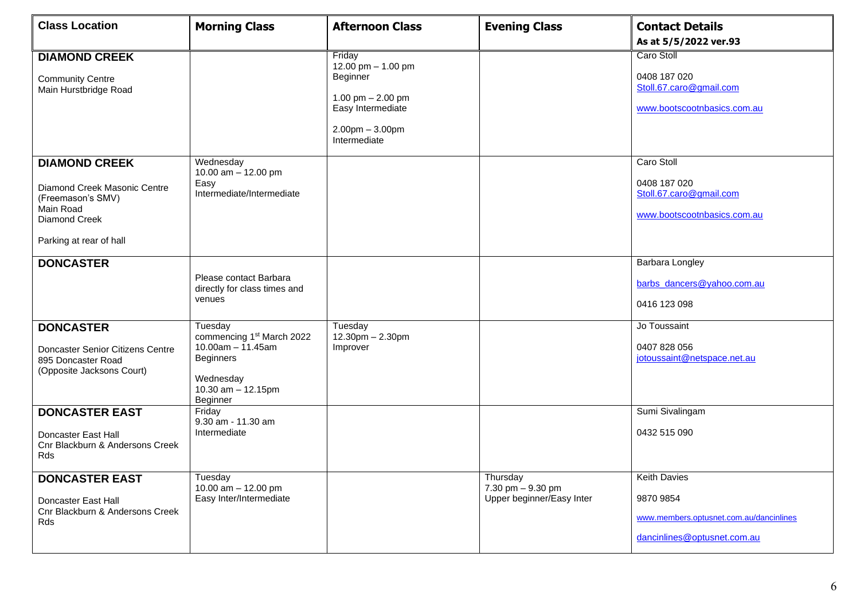| <b>Class Location</b>                                                    | <b>Morning Class</b>                                   | <b>Afternoon Class</b>                                                                                                       | <b>Evening Class</b>          | <b>Contact Details</b>                                                               |
|--------------------------------------------------------------------------|--------------------------------------------------------|------------------------------------------------------------------------------------------------------------------------------|-------------------------------|--------------------------------------------------------------------------------------|
|                                                                          |                                                        |                                                                                                                              |                               | As at 5/5/2022 ver.93                                                                |
| <b>DIAMOND CREEK</b><br><b>Community Centre</b><br>Main Hurstbridge Road |                                                        | Friday<br>12.00 pm - 1.00 pm<br>Beginner<br>1.00 pm $- 2.00$ pm<br>Easy Intermediate<br>$2.00$ pm $-3.00$ pm<br>Intermediate |                               | Caro Stoll<br>0408 187 020<br>Stoll.67.caro@gmail.com<br>www.bootscootnbasics.com.au |
| <b>DIAMOND CREEK</b>                                                     | Wednesday<br>10.00 am - 12.00 pm                       |                                                                                                                              |                               | Caro Stoll                                                                           |
| Diamond Creek Masonic Centre<br>(Freemason's SMV)<br>Main Road           | Easy<br>Intermediate/Intermediate                      |                                                                                                                              |                               | 0408 187 020<br>Stoll.67.caro@gmail.com                                              |
| Diamond Creek                                                            |                                                        |                                                                                                                              |                               | www.bootscootnbasics.com.au                                                          |
| Parking at rear of hall                                                  |                                                        |                                                                                                                              |                               |                                                                                      |
| <b>DONCASTER</b>                                                         |                                                        |                                                                                                                              |                               | Barbara Longley                                                                      |
|                                                                          | Please contact Barbara<br>directly for class times and |                                                                                                                              |                               | barbs_dancers@yahoo.com.au                                                           |
|                                                                          | venues                                                 |                                                                                                                              |                               | 0416 123 098                                                                         |
| <b>DONCASTER</b>                                                         | Tuesday<br>commencing 1 <sup>st</sup> March 2022       | Tuesday<br>12.30pm - 2.30pm                                                                                                  |                               | Jo Toussaint                                                                         |
| Doncaster Senior Citizens Centre                                         | $10.00am - 11.45am$                                    | Improver                                                                                                                     |                               | 0407 828 056                                                                         |
| 895 Doncaster Road<br>(Opposite Jacksons Court)                          | <b>Beginners</b>                                       |                                                                                                                              |                               | jotoussaint@netspace.net.au                                                          |
|                                                                          | Wednesday<br>10.30 $am - 12.15pm$<br>Beginner          |                                                                                                                              |                               |                                                                                      |
| <b>DONCASTER EAST</b>                                                    | Friday<br>9.30 am - 11.30 am                           |                                                                                                                              |                               | Sumi Sivalingam                                                                      |
| Doncaster East Hall<br>Cnr Blackburn & Andersons Creek<br>Rds            | Intermediate                                           |                                                                                                                              |                               | 0432 515 090                                                                         |
| <b>DONCASTER EAST</b>                                                    | Tuesday<br>10.00 $am - 12.00 pm$                       |                                                                                                                              | Thursday<br>7.30 pm - 9.30 pm | <b>Keith Davies</b>                                                                  |
| Doncaster East Hall<br>Cnr Blackburn & Andersons Creek                   | Easy Inter/Intermediate                                |                                                                                                                              | Upper beginner/Easy Inter     | 9870 9854                                                                            |
| Rds                                                                      |                                                        |                                                                                                                              |                               | www.members.optusnet.com.au/dancinlines                                              |
|                                                                          |                                                        |                                                                                                                              |                               | dancinlines@optusnet.com.au                                                          |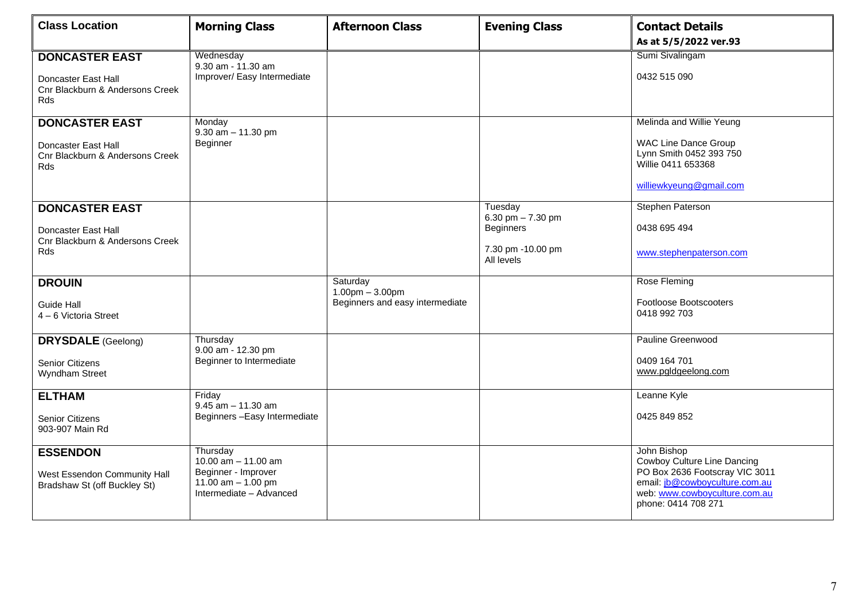| <b>Class Location</b>                                                                         | <b>Morning Class</b>                                                                                        | <b>Afternoon Class</b>                                              | <b>Evening Class</b>                                                                  | <b>Contact Details</b><br>As at 5/5/2022 ver.93                                                                                                                        |
|-----------------------------------------------------------------------------------------------|-------------------------------------------------------------------------------------------------------------|---------------------------------------------------------------------|---------------------------------------------------------------------------------------|------------------------------------------------------------------------------------------------------------------------------------------------------------------------|
| <b>DONCASTER EAST</b><br>Doncaster East Hall<br>Cnr Blackburn & Andersons Creek<br><b>Rds</b> | Wednesday<br>9.30 am - 11.30 am<br>Improver/ Easy Intermediate                                              |                                                                     |                                                                                       | Sumi Sivalingam<br>0432 515 090                                                                                                                                        |
| <b>DONCASTER EAST</b><br>Doncaster East Hall<br>Cnr Blackburn & Andersons Creek<br>Rds        | Monday<br>$9.30$ am $- 11.30$ pm<br>Beginner                                                                |                                                                     |                                                                                       | Melinda and Willie Yeung<br><b>WAC Line Dance Group</b><br>Lynn Smith 0452 393 750<br>Willie 0411 653368<br>williewkyeung@gmail.com                                    |
| <b>DONCASTER EAST</b><br>Doncaster East Hall<br>Cnr Blackburn & Andersons Creek<br><b>Rds</b> |                                                                                                             |                                                                     | Tuesday<br>6.30 pm $- 7.30$ pm<br><b>Beginners</b><br>7.30 pm -10.00 pm<br>All levels | Stephen Paterson<br>0438 695 494<br>www.stephenpaterson.com                                                                                                            |
| <b>DROUIN</b><br><b>Guide Hall</b><br>4 - 6 Victoria Street                                   |                                                                                                             | Saturday<br>$1.00$ pm $-3.00$ pm<br>Beginners and easy intermediate |                                                                                       | Rose Fleming<br>Footloose Bootscooters<br>0418 992 703                                                                                                                 |
| <b>DRYSDALE</b> (Geelong)<br><b>Senior Citizens</b><br>Wyndham Street                         | Thursday<br>9.00 am - 12.30 pm<br>Beginner to Intermediate                                                  |                                                                     |                                                                                       | Pauline Greenwood<br>0409 164 701<br>www.pgldgeelong.com                                                                                                               |
| <b>ELTHAM</b><br><b>Senior Citizens</b><br>903-907 Main Rd                                    | Friday<br>$9.45$ am $- 11.30$ am<br>Beginners-Easy Intermediate                                             |                                                                     |                                                                                       | Leanne Kyle<br>0425 849 852                                                                                                                                            |
| <b>ESSENDON</b><br>West Essendon Community Hall<br>Bradshaw St (off Buckley St)               | Thursdav<br>10.00 $am - 11.00$ am<br>Beginner - Improver<br>11.00 $am - 1.00$ pm<br>Intermediate - Advanced |                                                                     |                                                                                       | John Bishop<br>Cowboy Culture Line Dancing<br>PO Box 2636 Footscray VIC 3011<br>email: jb@cowboyculture.com.au<br>web: www.cowboyculture.com.au<br>phone: 0414 708 271 |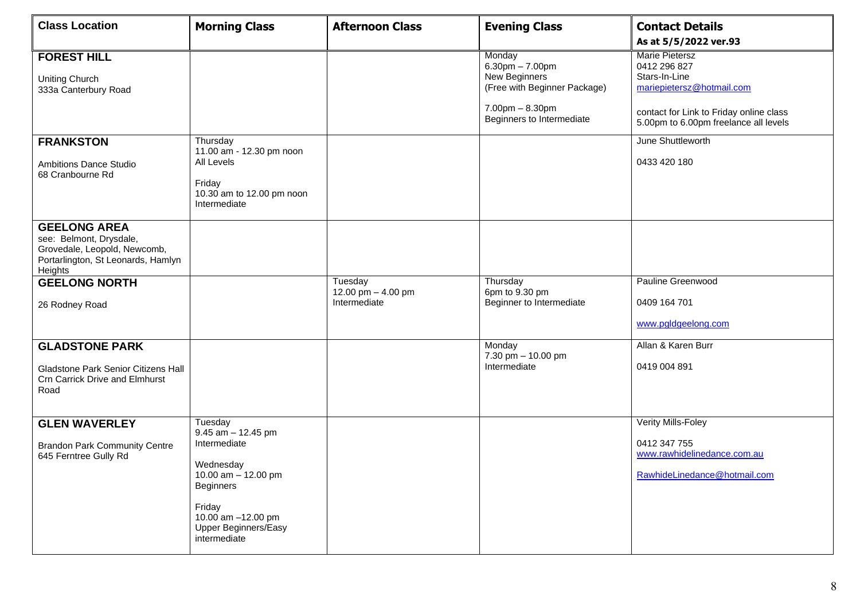| <b>Class Location</b>                                                                                                           | <b>Morning Class</b>                                                                                                                                                                    | <b>Afternoon Class</b>                          | <b>Evening Class</b>                                                                                                                   | <b>Contact Details</b><br>As at 5/5/2022 ver.93                                                                                                                         |
|---------------------------------------------------------------------------------------------------------------------------------|-----------------------------------------------------------------------------------------------------------------------------------------------------------------------------------------|-------------------------------------------------|----------------------------------------------------------------------------------------------------------------------------------------|-------------------------------------------------------------------------------------------------------------------------------------------------------------------------|
| <b>FOREST HILL</b><br><b>Uniting Church</b><br>333a Canterbury Road                                                             |                                                                                                                                                                                         |                                                 | Monday<br>$6.30$ pm $- 7.00$ pm<br>New Beginners<br>(Free with Beginner Package)<br>$7.00$ pm $- 8.30$ pm<br>Beginners to Intermediate | <b>Marie Pietersz</b><br>0412 296 827<br>Stars-In-Line<br>mariepietersz@hotmail.com<br>contact for Link to Friday online class<br>5.00pm to 6.00pm freelance all levels |
| <b>FRANKSTON</b><br><b>Ambitions Dance Studio</b><br>68 Cranbourne Rd                                                           | Thursday<br>11.00 am - 12.30 pm noon<br>All Levels<br>Friday<br>10.30 am to 12.00 pm noon<br>Intermediate                                                                               |                                                 |                                                                                                                                        | June Shuttleworth<br>0433 420 180                                                                                                                                       |
| <b>GEELONG AREA</b><br>see: Belmont, Drysdale,<br>Grovedale, Leopold, Newcomb,<br>Portarlington, St Leonards, Hamlyn<br>Heights |                                                                                                                                                                                         |                                                 |                                                                                                                                        |                                                                                                                                                                         |
| <b>GEELONG NORTH</b><br>26 Rodney Road                                                                                          |                                                                                                                                                                                         | Tuesday<br>12.00 pm $-$ 4.00 pm<br>Intermediate | Thursday<br>6pm to 9.30 pm<br>Beginner to Intermediate                                                                                 | Pauline Greenwood<br>0409 164 701<br>www.pgldgeelong.com                                                                                                                |
| <b>GLADSTONE PARK</b><br><b>Gladstone Park Senior Citizens Hall</b><br><b>Crn Carrick Drive and Elmhurst</b><br>Road            |                                                                                                                                                                                         |                                                 | Monday<br>7.30 pm - 10.00 pm<br>Intermediate                                                                                           | Allan & Karen Burr<br>0419 004 891                                                                                                                                      |
| <b>GLEN WAVERLEY</b><br><b>Brandon Park Community Centre</b><br>645 Ferntree Gully Rd                                           | Tuesday<br>$9.45$ am $-12.45$ pm<br>Intermediate<br>Wednesday<br>10.00 am - 12.00 pm<br><b>Beginners</b><br>Friday<br>10.00 am -12.00 pm<br><b>Upper Beginners/Easy</b><br>intermediate |                                                 |                                                                                                                                        | Verity Mills-Foley<br>0412 347 755<br>www.rawhidelinedance.com.au<br>RawhideLinedance@hotmail.com                                                                       |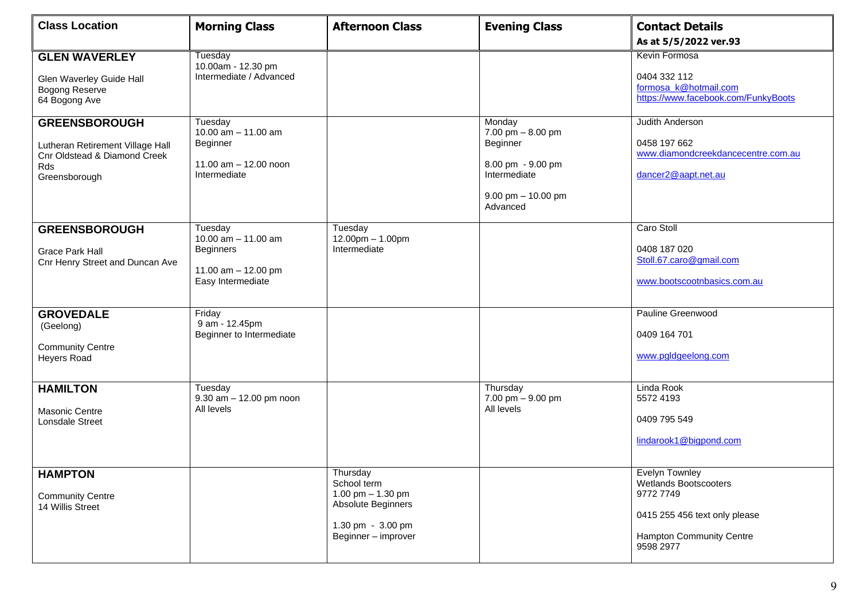| <b>Class Location</b>                                                                                            | <b>Morning Class</b>                                                                               | <b>Afternoon Class</b>                                                                                           | <b>Evening Class</b>                                                                                                | <b>Contact Details</b><br>As at 5/5/2022 ver.93                                                                                       |
|------------------------------------------------------------------------------------------------------------------|----------------------------------------------------------------------------------------------------|------------------------------------------------------------------------------------------------------------------|---------------------------------------------------------------------------------------------------------------------|---------------------------------------------------------------------------------------------------------------------------------------|
| <b>GLEN WAVERLEY</b><br>Glen Waverley Guide Hall<br><b>Bogong Reserve</b><br>64 Bogong Ave                       | Tuesday<br>10.00am - 12.30 pm<br>Intermediate / Advanced                                           |                                                                                                                  |                                                                                                                     | Kevin Formosa<br>0404 332 112<br>formosa k@hotmail.com<br>https://www.facebook.com/FunkyBoots                                         |
| <b>GREENSBOROUGH</b><br>Lutheran Retirement Village Hall<br>Cnr Oldstead & Diamond Creek<br>Rds<br>Greensborough | Tuesday<br>10.00 $am - 11.00$ am<br>Beginner<br>11.00 am - 12.00 noon<br>Intermediate              |                                                                                                                  | Monday<br>7.00 pm $-8.00$ pm<br>Beginner<br>8.00 pm - 9.00 pm<br>Intermediate<br>$9.00$ pm $- 10.00$ pm<br>Advanced | Judith Anderson<br>0458 197 662<br>www.diamondcreekdancecentre.com.au<br>dancer2@aapt.net.au                                          |
| <b>GREENSBOROUGH</b><br><b>Grace Park Hall</b><br>Cnr Henry Street and Duncan Ave                                | Tuesday<br>10.00 $am - 11.00$ am<br><b>Beginners</b><br>11.00 am $-$ 12.00 pm<br>Easy Intermediate | Tuesday<br>$12.00pm - 1.00pm$<br>Intermediate                                                                    |                                                                                                                     | Caro Stoll<br>0408 187 020<br>Stoll.67.caro@gmail.com<br>www.bootscootnbasics.com.au                                                  |
| <b>GROVEDALE</b><br>(Geelong)<br><b>Community Centre</b><br>Heyers Road                                          | Friday<br>9 am - 12.45pm<br>Beginner to Intermediate                                               |                                                                                                                  |                                                                                                                     | Pauline Greenwood<br>0409 164 701<br>www.pgldgeelong.com                                                                              |
| <b>HAMILTON</b><br>Masonic Centre<br>Lonsdale Street                                                             | Tuesday<br>$9.30$ am $- 12.00$ pm noon<br>All levels                                               |                                                                                                                  | Thursday<br>$7.00$ pm $-9.00$ pm<br>All levels                                                                      | Linda Rook<br>5572 4193<br>0409 795 549<br>lindarook1@bigpond.com                                                                     |
| <b>HAMPTON</b><br><b>Community Centre</b><br>14 Willis Street                                                    |                                                                                                    | Thursday<br>School term<br>1.00 pm $- 1.30$ pm<br>Absolute Beginners<br>1.30 pm - 3.00 pm<br>Beginner - improver |                                                                                                                     | Evelyn Townley<br><b>Wetlands Bootscooters</b><br>9772 7749<br>0415 255 456 text only please<br>Hampton Community Centre<br>9598 2977 |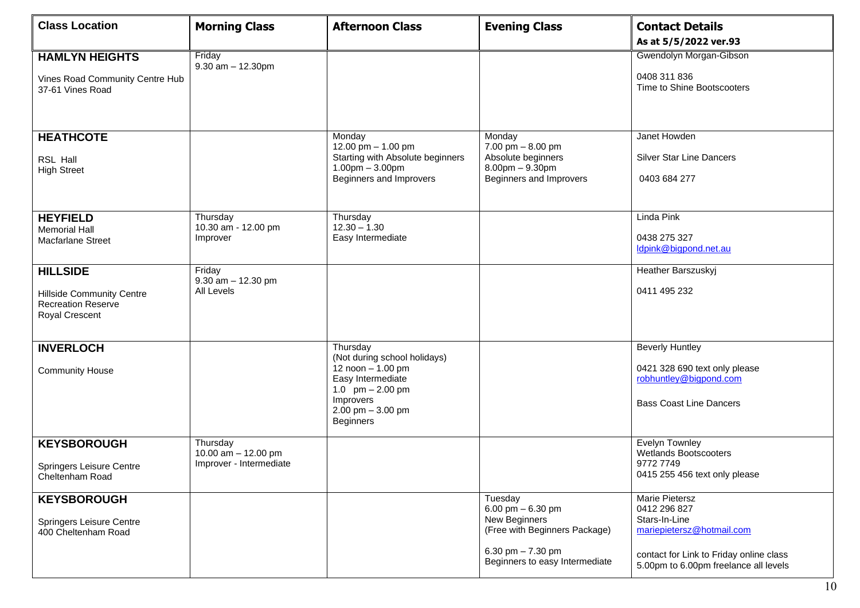| <b>Class Location</b>                                                                                     | <b>Morning Class</b>                                       | <b>Afternoon Class</b>                                                                                                                                            | <b>Evening Class</b>                                                                                                                      | <b>Contact Details</b><br>As at 5/5/2022 ver.93                                                                                                                  |
|-----------------------------------------------------------------------------------------------------------|------------------------------------------------------------|-------------------------------------------------------------------------------------------------------------------------------------------------------------------|-------------------------------------------------------------------------------------------------------------------------------------------|------------------------------------------------------------------------------------------------------------------------------------------------------------------|
| <b>HAMLYN HEIGHTS</b><br>Vines Road Community Centre Hub<br>37-61 Vines Road                              | Friday<br>$9.30$ am $- 12.30$ pm                           |                                                                                                                                                                   |                                                                                                                                           | Gwendolyn Morgan-Gibson<br>0408 311 836<br>Time to Shine Bootscooters                                                                                            |
| <b>HEATHCOTE</b><br>RSL Hall<br><b>High Street</b>                                                        |                                                            | Monday<br>12.00 pm $- 1.00$ pm<br>Starting with Absolute beginners<br>$1.00$ pm $-3.00$ pm<br>Beginners and Improvers                                             | Monday<br>$7.00$ pm $- 8.00$ pm<br>Absolute beginners<br>$8.00$ pm $- 9.30$ pm<br>Beginners and Improvers                                 | Janet Howden<br><b>Silver Star Line Dancers</b><br>0403 684 277                                                                                                  |
| <b>HEYFIELD</b><br><b>Memorial Hall</b><br><b>Macfarlane Street</b>                                       | Thursday<br>10.30 am - 12.00 pm<br>Improver                | Thursday<br>$12.30 - 1.30$<br>Easy Intermediate                                                                                                                   |                                                                                                                                           | Linda Pink<br>0438 275 327<br>ldpink@bigpond.net.au                                                                                                              |
| <b>HILLSIDE</b><br><b>Hillside Community Centre</b><br><b>Recreation Reserve</b><br><b>Royal Crescent</b> | Friday<br>$9.30$ am $- 12.30$ pm<br>All Levels             |                                                                                                                                                                   |                                                                                                                                           | Heather Barszuskyj<br>0411 495 232                                                                                                                               |
| <b>INVERLOCH</b><br><b>Community House</b>                                                                |                                                            | Thursday<br>(Not during school holidays)<br>12 noon - 1.00 pm<br>Easy Intermediate<br>1.0 $pm - 2.00 pm$<br>Improvers<br>$2.00$ pm $-3.00$ pm<br><b>Beginners</b> |                                                                                                                                           | <b>Beverly Huntley</b><br>0421 328 690 text only please<br>robhuntley@bigpond.com<br><b>Bass Coast Line Dancers</b>                                              |
| <b>KEYSBOROUGH</b><br>Springers Leisure Centre<br>Cheltenham Road                                         | Thursday<br>10.00 am - 12.00 pm<br>Improver - Intermediate |                                                                                                                                                                   |                                                                                                                                           | <b>Evelyn Townley</b><br><b>Wetlands Bootscooters</b><br>9772 7749<br>0415 255 456 text only please                                                              |
| <b>KEYSBOROUGH</b><br>Springers Leisure Centre<br>400 Cheltenham Road                                     |                                                            |                                                                                                                                                                   | Tuesday<br>6.00 pm $-$ 6.30 pm<br>New Beginners<br>(Free with Beginners Package)<br>6.30 pm $- 7.30$ pm<br>Beginners to easy Intermediate | Marie Pietersz<br>0412 296 827<br>Stars-In-Line<br>mariepietersz@hotmail.com<br>contact for Link to Friday online class<br>5.00pm to 6.00pm freelance all levels |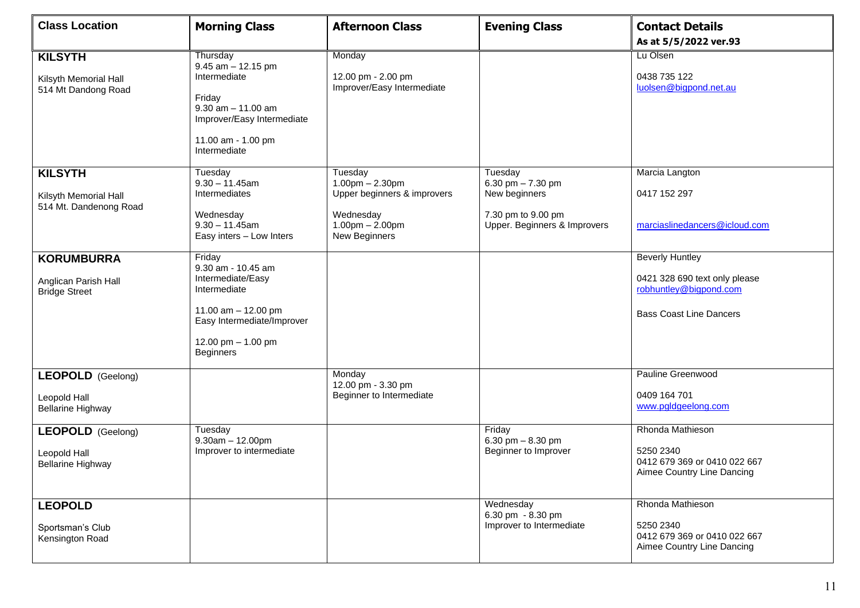| <b>Class Location</b>                                                | <b>Morning Class</b>                                                                                                                                               | <b>Afternoon Class</b>                                                                                             | <b>Evening Class</b>                                                                                  | <b>Contact Details</b><br>As at 5/5/2022 ver.93                                                                     |
|----------------------------------------------------------------------|--------------------------------------------------------------------------------------------------------------------------------------------------------------------|--------------------------------------------------------------------------------------------------------------------|-------------------------------------------------------------------------------------------------------|---------------------------------------------------------------------------------------------------------------------|
| <b>KILSYTH</b><br>Kilsyth Memorial Hall<br>514 Mt Dandong Road       | Thursday<br>$9.45$ am $-12.15$ pm<br>Intermediate<br>Friday<br>$9.30$ am $-11.00$ am<br>Improver/Easy Intermediate<br>11.00 am - 1.00 pm<br>Intermediate           | Monday<br>12.00 pm - 2.00 pm<br>Improver/Easy Intermediate                                                         |                                                                                                       | Lu Olsen<br>0438 735 122<br>luolsen@bigpond.net.au                                                                  |
| <b>KILSYTH</b><br>Kilsyth Memorial Hall<br>514 Mt. Dandenong Road    | Tuesday<br>$9.30 - 11.45$ am<br>Intermediates<br>Wednesday<br>$9.30 - 11.45$ am<br>Easy inters - Low Inters                                                        | Tuesday<br>$1.00$ pm $- 2.30$ pm<br>Upper beginners & improvers<br>Wednesday<br>$1.00pm - 2.00pm$<br>New Beginners | Tuesday<br>6.30 pm $- 7.30$ pm<br>New beginners<br>7.30 pm to 9.00 pm<br>Upper. Beginners & Improvers | Marcia Langton<br>0417 152 297<br>marciaslinedancers@icloud.com                                                     |
| <b>KORUMBURRA</b><br>Anglican Parish Hall<br><b>Bridge Street</b>    | Friday<br>9.30 am - 10.45 am<br>Intermediate/Easy<br>Intermediate<br>11.00 $am - 12.00$ pm<br>Easy Intermediate/Improver<br>12.00 pm - 1.00 pm<br><b>Beginners</b> |                                                                                                                    |                                                                                                       | <b>Beverly Huntley</b><br>0421 328 690 text only please<br>robhuntley@bigpond.com<br><b>Bass Coast Line Dancers</b> |
| <b>LEOPOLD</b> (Geelong)<br>Leopold Hall<br><b>Bellarine Highway</b> |                                                                                                                                                                    | Monday<br>12.00 pm - 3.30 pm<br>Beginner to Intermediate                                                           |                                                                                                       | Pauline Greenwood<br>0409 164 701<br>www.pgldgeelong.com                                                            |
| <b>LEOPOLD</b> (Geelong)<br>Leopold Hall<br><b>Bellarine Highway</b> | Tuesday<br>$9.30am - 12.00pm$<br>Improver to intermediate                                                                                                          |                                                                                                                    | Friday<br>6.30 pm $- 8.30$ pm<br>Beginner to Improver                                                 | Rhonda Mathieson<br>5250 2340<br>0412 679 369 or 0410 022 667<br>Aimee Country Line Dancing                         |
| <b>LEOPOLD</b><br>Sportsman's Club<br>Kensington Road                |                                                                                                                                                                    |                                                                                                                    | Wednesday<br>6.30 pm - 8.30 pm<br>Improver to Intermediate                                            | Rhonda Mathieson<br>5250 2340<br>0412 679 369 or 0410 022 667<br>Aimee Country Line Dancing                         |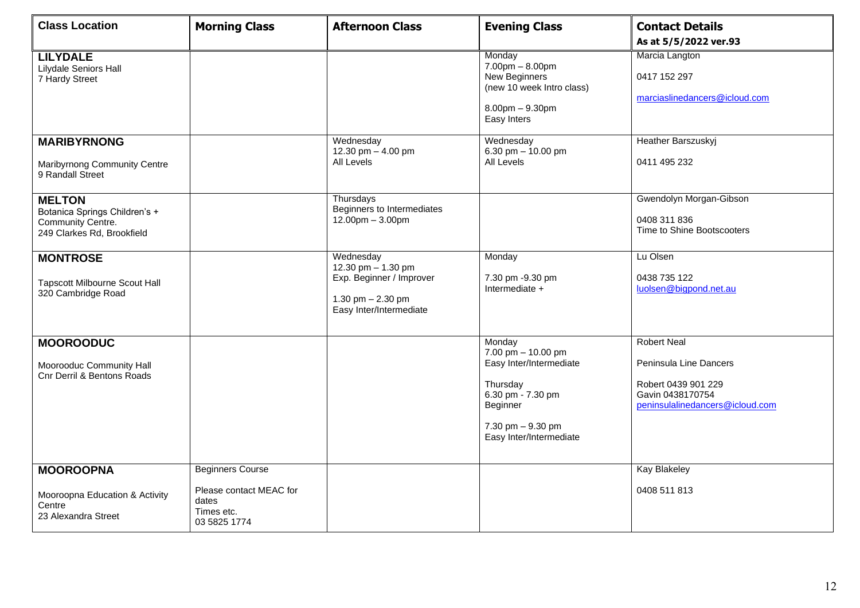| <b>Class Location</b>                                                                             | <b>Morning Class</b>                                           | <b>Afternoon Class</b>                                                                                        | <b>Evening Class</b>                                                                                                                                   | <b>Contact Details</b>                                                                                                     |
|---------------------------------------------------------------------------------------------------|----------------------------------------------------------------|---------------------------------------------------------------------------------------------------------------|--------------------------------------------------------------------------------------------------------------------------------------------------------|----------------------------------------------------------------------------------------------------------------------------|
|                                                                                                   |                                                                |                                                                                                               |                                                                                                                                                        | As at 5/5/2022 ver.93                                                                                                      |
| <b>LILYDALE</b><br><b>Lilydale Seniors Hall</b><br>7 Hardy Street                                 |                                                                |                                                                                                               | Monday<br>$7.00pm - 8.00pm$<br>New Beginners<br>(new 10 week Intro class)<br>$8.00$ pm $- 9.30$ pm<br>Easy Inters                                      | Marcia Langton<br>0417 152 297<br>marciaslinedancers@icloud.com                                                            |
| <b>MARIBYRNONG</b><br>Maribyrnong Community Centre<br>9 Randall Street                            |                                                                | Wednesday<br>12.30 pm - 4.00 pm<br>All Levels                                                                 | Wednesday<br>6.30 pm $-$ 10.00 pm<br>All Levels                                                                                                        | Heather Barszuskyj<br>0411 495 232                                                                                         |
| <b>MELTON</b><br>Botanica Springs Children's +<br>Community Centre.<br>249 Clarkes Rd, Brookfield |                                                                | Thursdays<br>Beginners to Intermediates<br>$12.00$ pm $- 3.00$ pm                                             |                                                                                                                                                        | Gwendolyn Morgan-Gibson<br>0408 311 836<br>Time to Shine Bootscooters                                                      |
| <b>MONTROSE</b><br><b>Tapscott Milbourne Scout Hall</b><br>320 Cambridge Road                     |                                                                | Wednesday<br>12.30 pm - 1.30 pm<br>Exp. Beginner / Improver<br>1.30 pm $- 2.30$ pm<br>Easy Inter/Intermediate | Monday<br>7.30 pm -9.30 pm<br>Intermediate +                                                                                                           | Lu Olsen<br>0438 735 122<br>luolsen@bigpond.net.au                                                                         |
| <b>MOOROODUC</b><br>Moorooduc Community Hall<br>Cnr Derril & Bentons Roads                        |                                                                |                                                                                                               | Monday<br>7.00 pm $-$ 10.00 pm<br>Easy Inter/Intermediate<br>Thursday<br>6.30 pm - 7.30 pm<br>Beginner<br>7.30 pm - 9.30 pm<br>Easy Inter/Intermediate | <b>Robert Neal</b><br>Peninsula Line Dancers<br>Robert 0439 901 229<br>Gavin 0438170754<br>peninsulalinedancers@icloud.com |
| <b>MOOROOPNA</b>                                                                                  | <b>Beginners Course</b>                                        |                                                                                                               |                                                                                                                                                        | <b>Kay Blakeley</b>                                                                                                        |
| Mooroopna Education & Activity<br>Centre<br>23 Alexandra Street                                   | Please contact MEAC for<br>dates<br>Times etc.<br>03 5825 1774 |                                                                                                               |                                                                                                                                                        | 0408 511 813                                                                                                               |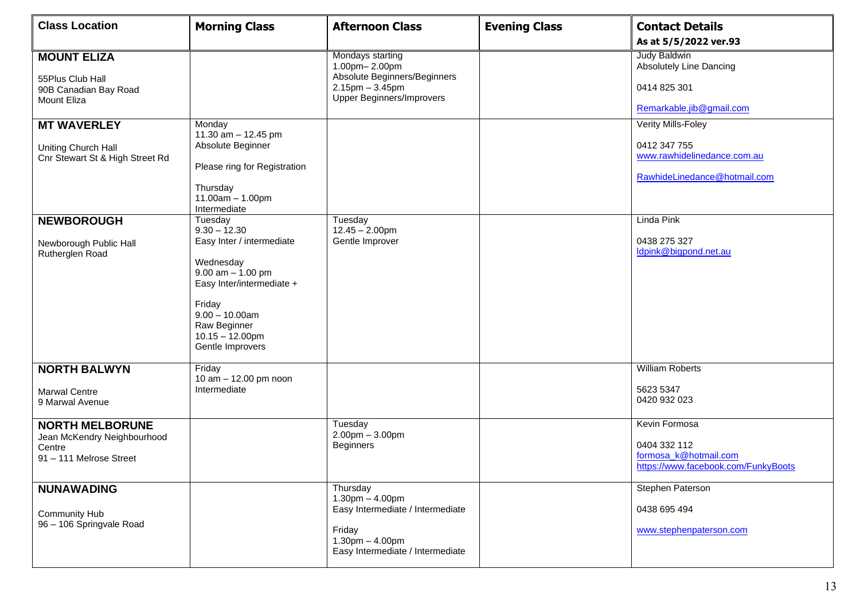| <b>Class Location</b>                                           | <b>Morning Class</b>                                                                  | <b>Afternoon Class</b>                                                                                  | <b>Evening Class</b> | <b>Contact Details</b>                                                |
|-----------------------------------------------------------------|---------------------------------------------------------------------------------------|---------------------------------------------------------------------------------------------------------|----------------------|-----------------------------------------------------------------------|
|                                                                 |                                                                                       |                                                                                                         |                      | As at 5/5/2022 ver.93                                                 |
| <b>MOUNT ELIZA</b><br>55Plus Club Hall                          |                                                                                       | Mondays starting<br>1.00pm-2.00pm<br>Absolute Beginners/Beginners<br>$2.15$ pm $-3.45$ pm               |                      | <b>Judy Baldwin</b><br><b>Absolutely Line Dancing</b><br>0414 825 301 |
| 90B Canadian Bay Road<br><b>Mount Eliza</b>                     |                                                                                       | <b>Upper Beginners/Improvers</b>                                                                        |                      | Remarkable.jib@gmail.com                                              |
| <b>MT WAVERLEY</b>                                              | Monday<br>11.30 am - 12.45 pm<br>Absolute Beginner                                    |                                                                                                         |                      | Verity Mills-Foley<br>0412 347 755                                    |
| Uniting Church Hall<br>Cnr Stewart St & High Street Rd          | Please ring for Registration                                                          |                                                                                                         |                      | www.rawhidelinedance.com.au                                           |
|                                                                 | Thursday<br>$11.00am - 1.00pm$<br>Intermediate                                        |                                                                                                         |                      | RawhideLinedance@hotmail.com                                          |
| <b>NEWBOROUGH</b><br>Newborough Public Hall                     | Tuesday<br>$9.30 - 12.30$<br>Easy Inter / intermediate                                | Tuesday<br>$12.45 - 2.00$ pm<br>Gentle Improver                                                         |                      | Linda Pink<br>0438 275 327                                            |
| Rutherglen Road                                                 | Wednesday<br>$9.00$ am $-1.00$ pm<br>Easy Inter/intermediate +                        |                                                                                                         |                      | Idpink@bigpond.net.au                                                 |
|                                                                 | Friday<br>$9.00 - 10.00$ am<br>Raw Beginner<br>$10.15 - 12.00$ pm<br>Gentle Improvers |                                                                                                         |                      |                                                                       |
| <b>NORTH BALWYN</b>                                             | Friday<br>10 am - 12.00 pm noon                                                       |                                                                                                         |                      | <b>William Roberts</b>                                                |
| <b>Marwal Centre</b><br>9 Marwal Avenue                         | Intermediate                                                                          |                                                                                                         |                      | 5623 5347<br>0420 932 023                                             |
| <b>NORTH MELBORUNE</b><br>Jean McKendry Neighbourhood<br>Centre |                                                                                       | Tuesday<br>$2.00$ pm $-3.00$ pm<br><b>Beginners</b>                                                     |                      | Kevin Formosa<br>0404 332 112                                         |
| 91 - 111 Melrose Street                                         |                                                                                       |                                                                                                         |                      | formosa_k@hotmail.com<br>https://www.facebook.com/FunkyBoots          |
| <b>NUNAWADING</b>                                               |                                                                                       | Thursday<br>$1.30$ pm $- 4.00$ pm                                                                       |                      | Stephen Paterson                                                      |
| <b>Community Hub</b><br>96 - 106 Springvale Road                |                                                                                       | Easy Intermediate / Intermediate<br>Friday<br>$1.30$ pm $- 4.00$ pm<br>Easy Intermediate / Intermediate |                      | 0438 695 494<br>www.stephenpaterson.com                               |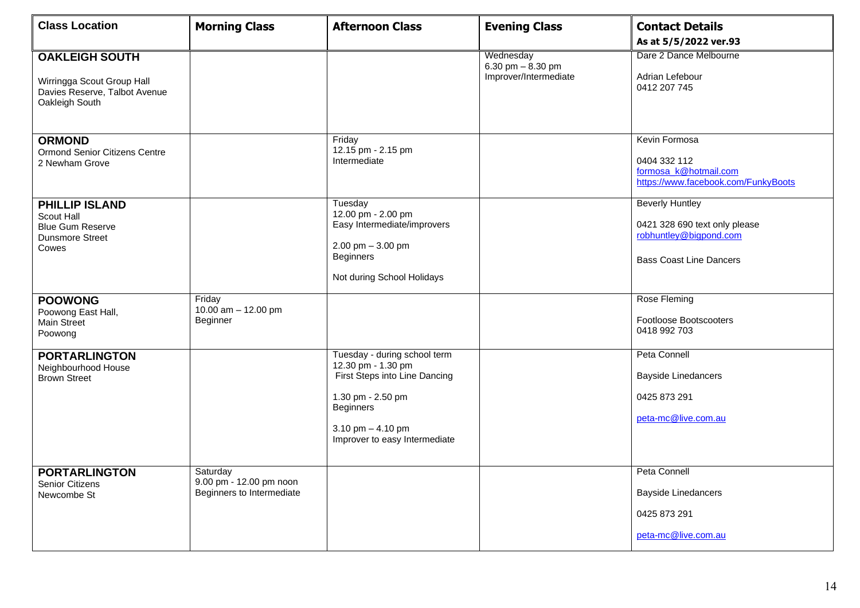| <b>Class Location</b>                                                                                  | <b>Morning Class</b>                                             | <b>Afternoon Class</b>                                                                                                                                                               | <b>Evening Class</b>                                     | <b>Contact Details</b><br>As at 5/5/2022 ver.93                                                                     |
|--------------------------------------------------------------------------------------------------------|------------------------------------------------------------------|--------------------------------------------------------------------------------------------------------------------------------------------------------------------------------------|----------------------------------------------------------|---------------------------------------------------------------------------------------------------------------------|
| <b>OAKLEIGH SOUTH</b><br>Wirringga Scout Group Hall<br>Davies Reserve, Talbot Avenue<br>Oakleigh South |                                                                  |                                                                                                                                                                                      | Wednesday<br>6.30 pm $-8.30$ pm<br>Improver/Intermediate | Dare 2 Dance Melbourne<br>Adrian Lefebour<br>0412 207 745                                                           |
| <b>ORMOND</b><br><b>Ormond Senior Citizens Centre</b><br>2 Newham Grove                                |                                                                  | Friday<br>12.15 pm - 2.15 pm<br>Intermediate                                                                                                                                         |                                                          | Kevin Formosa<br>0404 332 112<br>formosa k@hotmail.com<br>https://www.facebook.com/FunkyBoots                       |
| <b>PHILLIP ISLAND</b><br>Scout Hall<br><b>Blue Gum Reserve</b><br><b>Dunsmore Street</b><br>Cowes      |                                                                  | Tuesday<br>12.00 pm - 2.00 pm<br>Easy Intermediate/improvers<br>2.00 pm $-3.00$ pm<br><b>Beginners</b><br>Not during School Holidays                                                 |                                                          | <b>Beverly Huntley</b><br>0421 328 690 text only please<br>robhuntley@bigpond.com<br><b>Bass Coast Line Dancers</b> |
| <b>POOWONG</b><br>Poowong East Hall,<br><b>Main Street</b><br>Poowong                                  | Friday<br>10.00 am - 12.00 pm<br>Beginner                        |                                                                                                                                                                                      |                                                          | Rose Fleming<br>Footloose Bootscooters<br>0418 992 703                                                              |
| <b>PORTARLINGTON</b><br>Neighbourhood House<br><b>Brown Street</b>                                     |                                                                  | Tuesday - during school term<br>12.30 pm - 1.30 pm<br>First Steps into Line Dancing<br>1.30 pm - 2.50 pm<br><b>Beginners</b><br>3.10 pm $-$ 4.10 pm<br>Improver to easy Intermediate |                                                          | Peta Connell<br><b>Bayside Linedancers</b><br>0425 873 291<br>peta-mc@live.com.au                                   |
| <b>PORTARLINGTON</b><br><b>Senior Citizens</b><br>Newcombe St                                          | Saturday<br>9.00 pm - 12.00 pm noon<br>Beginners to Intermediate |                                                                                                                                                                                      |                                                          | Peta Connell<br><b>Bayside Linedancers</b><br>0425 873 291<br>peta-mc@live.com.au                                   |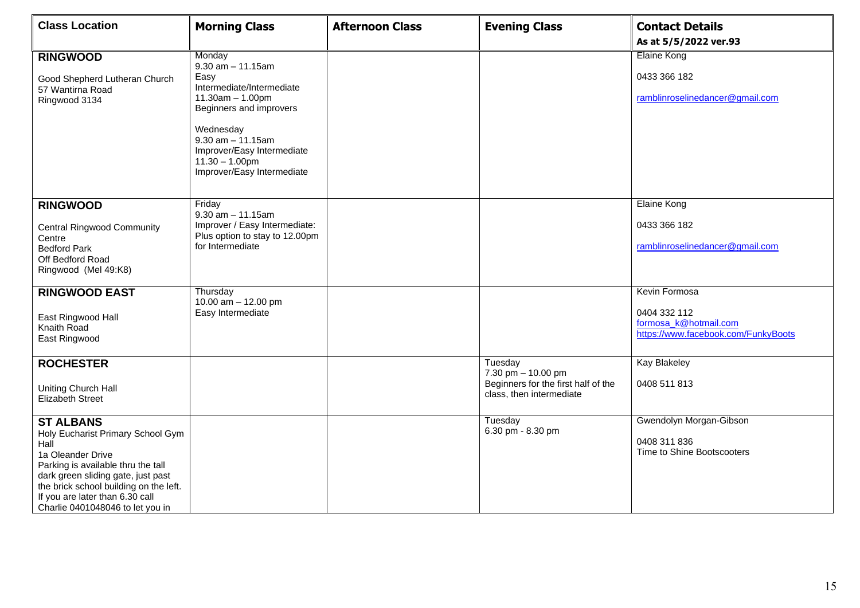| <b>Class Location</b>                                                                                                                                                                                                                                                           | <b>Morning Class</b>                                                                                                                                                                                                                          | <b>Afternoon Class</b> | <b>Evening Class</b>                                                                             | <b>Contact Details</b>                                                                        |
|---------------------------------------------------------------------------------------------------------------------------------------------------------------------------------------------------------------------------------------------------------------------------------|-----------------------------------------------------------------------------------------------------------------------------------------------------------------------------------------------------------------------------------------------|------------------------|--------------------------------------------------------------------------------------------------|-----------------------------------------------------------------------------------------------|
|                                                                                                                                                                                                                                                                                 |                                                                                                                                                                                                                                               |                        |                                                                                                  | As at 5/5/2022 ver.93                                                                         |
| <b>RINGWOOD</b><br>Good Shepherd Lutheran Church<br>57 Wantirna Road<br>Ringwood 3134                                                                                                                                                                                           | Monday<br>$9.30$ am $- 11.15$ am<br>Easy<br>Intermediate/Intermediate<br>$11.30am - 1.00pm$<br>Beginners and improvers<br>Wednesday<br>$9.30$ am $-11.15$ am<br>Improver/Easy Intermediate<br>$11.30 - 1.00$ pm<br>Improver/Easy Intermediate |                        |                                                                                                  | <b>Elaine Kong</b><br>0433 366 182<br>ramblinroselinedancer@gmail.com                         |
| <b>RINGWOOD</b><br><b>Central Ringwood Community</b><br>Centre<br><b>Bedford Park</b><br>Off Bedford Road<br>Ringwood (Mel 49:K8)                                                                                                                                               | Friday<br>$9.30$ am $- 11.15$ am<br>Improver / Easy Intermediate:<br>Plus option to stay to 12.00pm<br>for Intermediate                                                                                                                       |                        |                                                                                                  | Elaine Kong<br>0433 366 182<br>ramblinroselinedancer@gmail.com                                |
| <b>RINGWOOD EAST</b><br>East Ringwood Hall<br>Knaith Road<br>East Ringwood                                                                                                                                                                                                      | Thursday<br>10.00 $am - 12.00$ pm<br>Easy Intermediate                                                                                                                                                                                        |                        |                                                                                                  | Kevin Formosa<br>0404 332 112<br>formosa_k@hotmail.com<br>https://www.facebook.com/FunkyBoots |
| <b>ROCHESTER</b><br>Uniting Church Hall<br><b>Elizabeth Street</b>                                                                                                                                                                                                              |                                                                                                                                                                                                                                               |                        | Tuesday<br>7.30 pm - 10.00 pm<br>Beginners for the first half of the<br>class, then intermediate | <b>Kay Blakeley</b><br>0408 511 813                                                           |
| <b>ST ALBANS</b><br>Holy Eucharist Primary School Gym<br>Hall<br>1a Oleander Drive<br>Parking is available thru the tall<br>dark green sliding gate, just past<br>the brick school building on the left.<br>If you are later than 6.30 call<br>Charlie 0401048046 to let you in |                                                                                                                                                                                                                                               |                        | Tuesday<br>6.30 pm - 8.30 pm                                                                     | Gwendolyn Morgan-Gibson<br>0408 311 836<br>Time to Shine Bootscooters                         |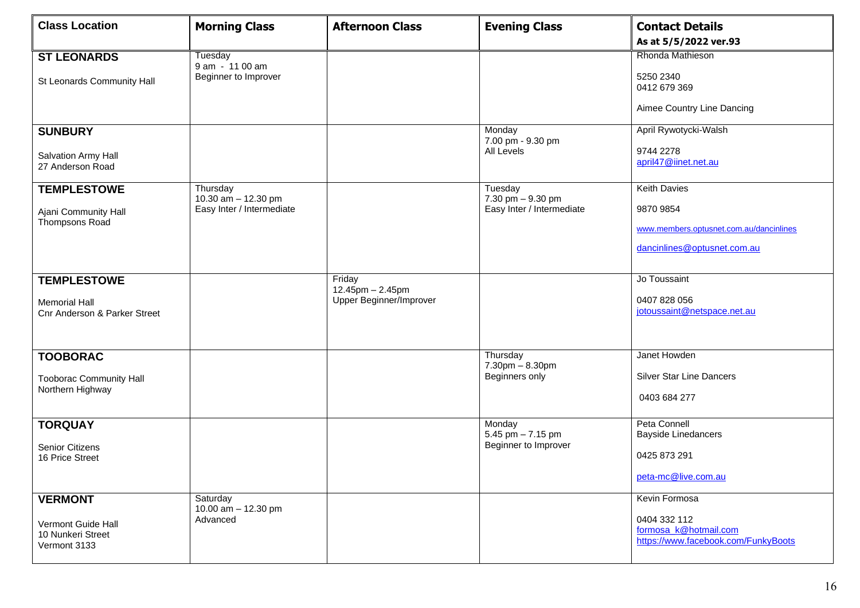| <b>Class Location</b>                                                                 | <b>Morning Class</b>                                         | <b>Afternoon Class</b>                                      | <b>Evening Class</b>                                      | <b>Contact Details</b><br>As at 5/5/2022 ver.93                                                            |
|---------------------------------------------------------------------------------------|--------------------------------------------------------------|-------------------------------------------------------------|-----------------------------------------------------------|------------------------------------------------------------------------------------------------------------|
| <b>ST LEONARDS</b><br>St Leonards Community Hall                                      | Tuesday<br>9 am - 11 00 am<br>Beginner to Improver           |                                                             |                                                           | Rhonda Mathieson<br>5250 2340<br>0412 679 369                                                              |
| <b>SUNBURY</b><br>Salvation Army Hall<br>27 Anderson Road                             |                                                              |                                                             | Monday<br>7.00 pm - 9.30 pm<br>All Levels                 | Aimee Country Line Dancing<br>April Rywotycki-Walsh<br>9744 2278<br>april47@iinet.net.au                   |
| <b>TEMPLESTOWE</b><br>Ajani Community Hall<br>Thompsons Road                          | Thursday<br>10.30 am - 12.30 pm<br>Easy Inter / Intermediate |                                                             | Tuesday<br>7.30 pm - 9.30 pm<br>Easy Inter / Intermediate | <b>Keith Davies</b><br>9870 9854<br>www.members.optusnet.com.au/dancinlines<br>dancinlines@optusnet.com.au |
| <b>TEMPLESTOWE</b><br><b>Memorial Hall</b><br><b>Cnr Anderson &amp; Parker Street</b> |                                                              | Friday<br>$12.45$ pm $- 2.45$ pm<br>Upper Beginner/Improver |                                                           | Jo Toussaint<br>0407 828 056<br>jotoussaint@netspace.net.au                                                |
| <b>TOOBORAC</b><br><b>Tooborac Community Hall</b><br>Northern Highway                 |                                                              |                                                             | Thursday<br>$7.30$ pm $- 8.30$ pm<br>Beginners only       | Janet Howden<br><b>Silver Star Line Dancers</b><br>0403 684 277                                            |
| <b>TORQUAY</b><br><b>Senior Citizens</b><br>16 Price Street                           |                                                              |                                                             | Monday<br>5.45 pm $- 7.15$ pm<br>Beginner to Improver     | Peta Connell<br><b>Bayside Linedancers</b><br>0425 873 291<br>peta-mc@live.com.au                          |
| <b>VERMONT</b><br>Vermont Guide Hall<br>10 Nunkeri Street<br>Vermont 3133             | Saturday<br>10.00 $am - 12.30$ pm<br>Advanced                |                                                             |                                                           | Kevin Formosa<br>0404 332 112<br>formosa k@hotmail.com<br>https://www.facebook.com/FunkyBoots              |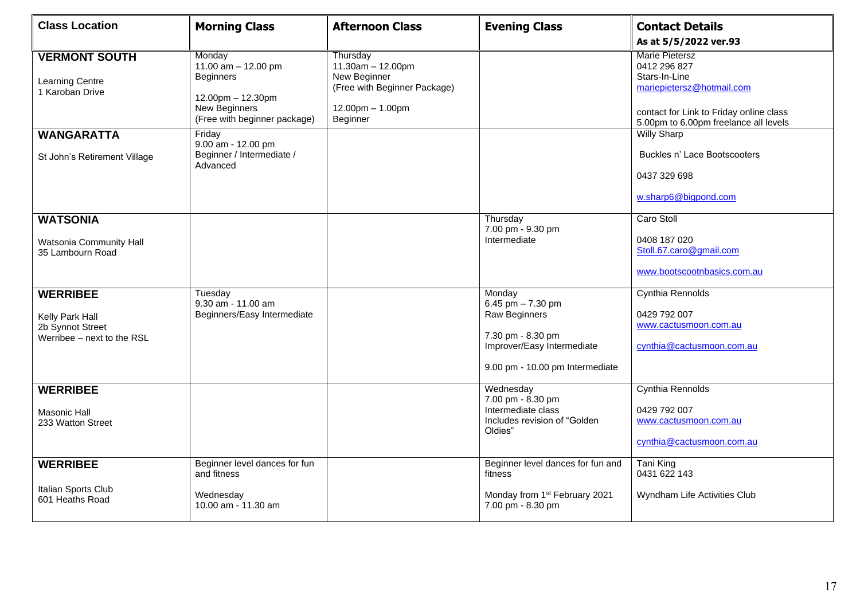| <b>Class Location</b>                                                                | <b>Morning Class</b>                                                                                                    | <b>Afternoon Class</b>                                                                                                | <b>Evening Class</b>                                                                                                                 | <b>Contact Details</b><br>As at 5/5/2022 ver.93                                                                                                                         |
|--------------------------------------------------------------------------------------|-------------------------------------------------------------------------------------------------------------------------|-----------------------------------------------------------------------------------------------------------------------|--------------------------------------------------------------------------------------------------------------------------------------|-------------------------------------------------------------------------------------------------------------------------------------------------------------------------|
| <b>VERMONT SOUTH</b><br><b>Learning Centre</b><br>1 Karoban Drive                    | Monday<br>11.00 am - 12.00 pm<br><b>Beginners</b><br>12.00pm - 12.30pm<br>New Beginners<br>(Free with beginner package) | Thursday<br>$11.30am - 12.00pm$<br>New Beginner<br>(Free with Beginner Package)<br>$12.00$ pm $- 1.00$ pm<br>Beginner |                                                                                                                                      | <b>Marie Pietersz</b><br>0412 296 827<br>Stars-In-Line<br>mariepietersz@hotmail.com<br>contact for Link to Friday online class<br>5.00pm to 6.00pm freelance all levels |
| <b>WANGARATTA</b><br>St John's Retirement Village                                    | Friday<br>9.00 am - 12.00 pm<br>Beginner / Intermediate /<br>Advanced                                                   |                                                                                                                       |                                                                                                                                      | <b>Willy Sharp</b><br>Buckles n' Lace Bootscooters<br>0437 329 698<br>w.sharp6@bigpond.com                                                                              |
| <b>WATSONIA</b><br>Watsonia Community Hall<br>35 Lambourn Road                       |                                                                                                                         |                                                                                                                       | Thursday<br>7.00 pm - 9.30 pm<br>Intermediate                                                                                        | Caro Stoll<br>0408 187 020<br>Stoll.67.caro@gmail.com<br>www.bootscootnbasics.com.au                                                                                    |
| <b>WERRIBEE</b><br>Kelly Park Hall<br>2b Synnot Street<br>Werribee – next to the RSL | Tuesday<br>9.30 am - 11.00 am<br>Beginners/Easy Intermediate                                                            |                                                                                                                       | Monday<br>6.45 pm $- 7.30$ pm<br>Raw Beginners<br>7.30 pm - 8.30 pm<br>Improver/Easy Intermediate<br>9.00 pm - 10.00 pm Intermediate | Cynthia Rennolds<br>0429 792 007<br>www.cactusmoon.com.au<br>cynthia@cactusmoon.com.au                                                                                  |
| <b>WERRIBEE</b><br>Masonic Hall<br>233 Watton Street                                 |                                                                                                                         |                                                                                                                       | Wednesday<br>7.00 pm - 8.30 pm<br>Intermediate class<br>Includes revision of "Golden<br>Oldies"                                      | Cynthia Rennolds<br>0429 792 007<br>www.cactusmoon.com.au<br>cynthia@cactusmoon.com.au                                                                                  |
| <b>WERRIBEE</b><br>Italian Sports Club<br>601 Heaths Road                            | Beginner level dances for fun<br>and fitness<br>Wednesday<br>10.00 am - 11.30 am                                        |                                                                                                                       | Beginner level dances for fun and<br>fitness<br>Monday from 1 <sup>st</sup> February 2021<br>7.00 pm - 8.30 pm                       | Tani King<br>0431 622 143<br>Wyndham Life Activities Club                                                                                                               |